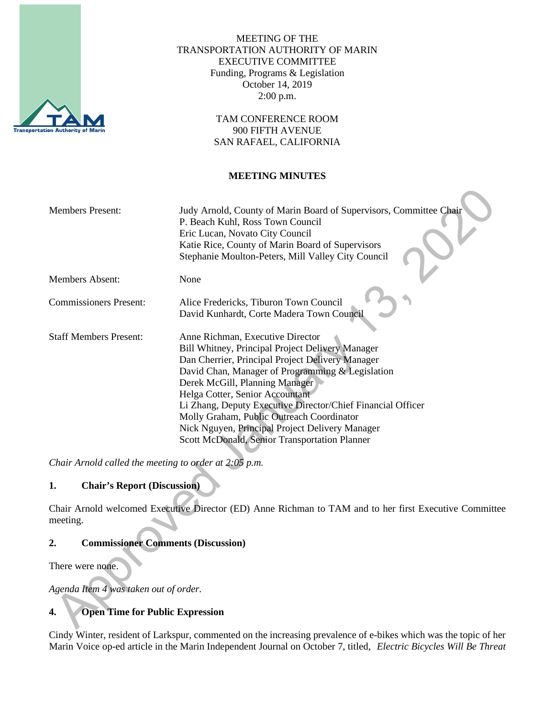

MEETING OF THE TRANSPORTATION AUTHORITY OF MARIN EXECUTIVE COMMITTEE Funding, Programs & Legislation October 14, 2019 2:00 p.m.

> TAM CONFERENCE ROOM 900 FIFTH AVENUE SAN RAFAEL, CALIFORNIA

#### **MEETING MINUTES**

| <b>Members Present:</b>       | Judy Arnold, County of Marin Board of Supervisors, Committee Chair<br>P. Beach Kuhl, Ross Town Council<br>Eric Lucan, Novato City Council<br>Katie Rice, County of Marin Board of Supervisors<br>Stephanie Moulton-Peters, Mill Valley City Council                                                                                                                                                                                                                               |
|-------------------------------|-----------------------------------------------------------------------------------------------------------------------------------------------------------------------------------------------------------------------------------------------------------------------------------------------------------------------------------------------------------------------------------------------------------------------------------------------------------------------------------|
| <b>Members Absent:</b>        | None                                                                                                                                                                                                                                                                                                                                                                                                                                                                              |
| <b>Commissioners Present:</b> | Alice Fredericks, Tiburon Town Council<br>David Kunhardt, Corte Madera Town Council                                                                                                                                                                                                                                                                                                                                                                                               |
| <b>Staff Members Present:</b> | Anne Richman, Executive Director<br>Bill Whitney, Principal Project Delivery Manager<br>Dan Cherrier, Principal Project Delivery Manager<br>David Chan, Manager of Programming & Legislation<br>Derek McGill, Planning Manager<br>Helga Cotter, Senior Accountant<br>Li Zhang, Deputy Executive Director/Chief Financial Officer<br>Molly Graham, Public Outreach Coordinator<br>Nick Nguyen, Principal Project Delivery Manager<br>Scott McDonald, Senior Transportation Planner |

*Chair Arnold called the meeting to order at 2:05 p.m.*

# **1. Chair's Report (Discussion)**

Chair Arnold welcomed Executive Director (ED) Anne Richman to TAM and to her first Executive Committee meeting.

### **2. Commissioner Comments (Discussion)**

There were none.

*Agenda Item 4 was taken out of order.* 

# **4. Open Time for Public Expression**

Cindy Winter, resident of Larkspur, commented on the increasing prevalence of e-bikes which was the topic of her Marin Voice op-ed article in the Marin Independent Journal on October 7, titled, *Electric Bicycles Will Be Threat*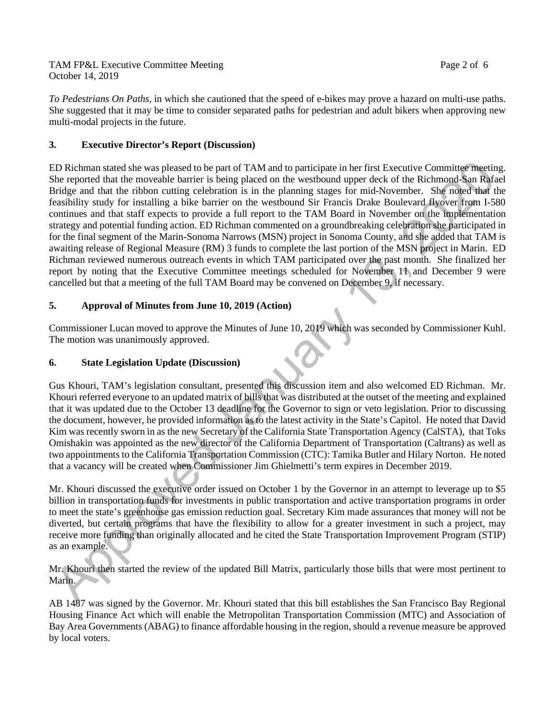*To Pedestrians On Paths,* in which she cautioned that the speed of e-bikes may prove a hazard on multi-use paths. She suggested that it may be time to consider separated paths for pedestrian and adult bikers when approving new multi-modal projects in the future.

## **3. Executive Director's Report (Discussion)**

ED Richman stated she was pleased to be part of TAM and to participate in her first Executive Committee meeting. She reported that the moveable barrier is being placed on the westbound upper deck of the Richmond-San Rafael Bridge and that the ribbon cutting celebration is in the planning stages for mid-November. She noted that the feasibility study for installing a bike barrier on the westbound Sir Francis Drake Boulevard flyover from I-580 continues and that staff expects to provide a full report to the TAM Board in November on the implementation strategy and potential funding action. ED Richman commented on a groundbreaking celebration she participated in for the final segment of the Marin-Sonoma Narrows (MSN) project in Sonoma County, and she added that TAM is awaiting release of Regional Measure (RM) 3 funds to complete the last portion of the MSN project in Marin. ED Richman reviewed numerous outreach events in which TAM participated over the past month. She finalized her report by noting that the Executive Committee meetings scheduled for November 11 and December 9 were cancelled but that a meeting of the full TAM Board may be convened on December 9, if necessary.

### **5. Approval of Minutes from June 10, 2019 (Action)**

Commissioner Lucan moved to approve the Minutes of June 10, 2019 which was seconded by Commissioner Kuhl. The motion was unanimously approved.

### **6. State Legislation Update (Discussion)**

Gus Khouri, TAM's legislation consultant, presented this discussion item and also welcomed ED Richman. Mr. Khouri referred everyone to an updated matrix of bills that was distributed at the outset of the meeting and explained that it was updated due to the October 13 deadline for the Governor to sign or veto legislation. Prior to discussing the document, however, he provided information as to the latest activity in the State's Capitol. He noted that David Kim was recently sworn in as the new Secretary of the California State Transportation Agency (CalSTA), that Toks Omishakin was appointed as the new director of the California Department of Transportation (Caltrans) as well as two appointments to the California Transportation Commission (CTC): Tamika Butler and Hilary Norton. He noted that a vacancy will be created when Commissioner Jim Ghielmetti's term expires in December 2019.

Mr. Khouri discussed the executive order issued on October 1 by the Governor in an attempt to leverage up to \$5 billion in transportation funds for investments in public transportation and active transportation programs in order to meet the state's greenhouse gas emission reduction goal. Secretary Kim made assurances that money will not be diverted, but certain programs that have the flexibility to allow for a greater investment in such a project, may receive more funding than originally allocated and he cited the State Transportation Improvement Program (STIP) as an example.

Mr. Khouri then started the review of the updated Bill Matrix, particularly those bills that were most pertinent to Marin.

AB 1487 was signed by the Governor. Mr. Khouri stated that this bill establishes the San Francisco Bay Regional Housing Finance Act which will enable the Metropolitan Transportation Commission (MTC) and Association of Bay Area Governments (ABAG) to finance affordable housing in the region, should a revenue measure be approved by local voters.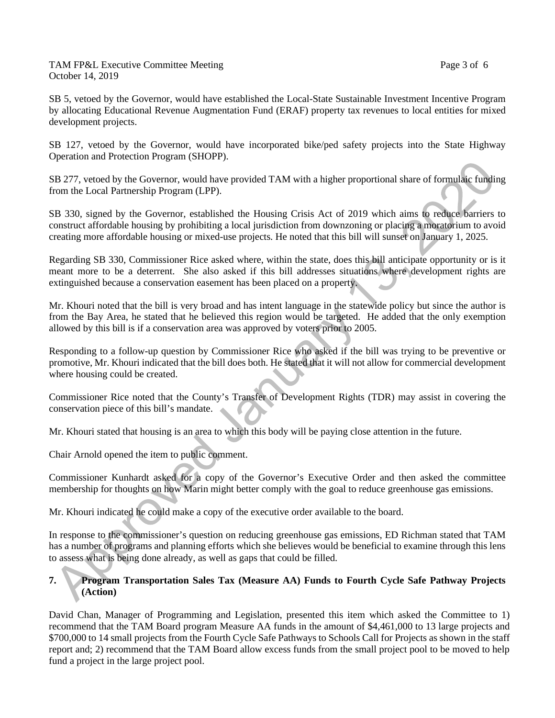SB 5, vetoed by the Governor, would have established the Local-State Sustainable Investment Incentive Program by allocating Educational Revenue Augmentation Fund (ERAF) property tax revenues to local entities for mixed development projects.

SB 127, vetoed by the Governor, would have incorporated bike/ped safety projects into the State Highway Operation and Protection Program (SHOPP).

SB 277, vetoed by the Governor, would have provided TAM with a higher proportional share of formulaic funding from the Local Partnership Program (LPP).

SB 330, signed by the Governor, established the Housing Crisis Act of 2019 which aims to reduce barriers to construct affordable housing by prohibiting a local jurisdiction from downzoning or placing a moratorium to avoid creating more affordable housing or mixed-use projects. He noted that this bill will sunset on January 1, 2025.

Regarding SB 330, Commissioner Rice asked where, within the state, does this bill anticipate opportunity or is it meant more to be a deterrent. She also asked if this bill addresses situations where development rights are extinguished because a conservation easement has been placed on a property.

Mr. Khouri noted that the bill is very broad and has intent language in the statewide policy but since the author is from the Bay Area, he stated that he believed this region would be targeted. He added that the only exemption allowed by this bill is if a conservation area was approved by voters prior to 2005.

Responding to a follow-up question by Commissioner Rice who asked if the bill was trying to be preventive or promotive, Mr. Khouri indicated that the bill does both. He stated that it will not allow for commercial development where housing could be created.

Commissioner Rice noted that the County's Transfer of Development Rights (TDR) may assist in covering the conservation piece of this bill's mandate.

Mr. Khouri stated that housing is an area to which this body will be paying close attention in the future.

Chair Arnold opened the item to public comment.

Commissioner Kunhardt asked for a copy of the Governor's Executive Order and then asked the committee membership for thoughts on how Marin might better comply with the goal to reduce greenhouse gas emissions.

Mr. Khouri indicated he could make a copy of the executive order available to the board.

In response to the commissioner's question on reducing greenhouse gas emissions, ED Richman stated that TAM has a number of programs and planning efforts which she believes would be beneficial to examine through this lens to assess what is being done already, as well as gaps that could be filled.

### **7. Program Transportation Sales Tax (Measure AA) Funds to Fourth Cycle Safe Pathway Projects (Action)**

David Chan, Manager of Programming and Legislation, presented this item which asked the Committee to 1) recommend that the TAM Board program Measure AA funds in the amount of \$4,461,000 to 13 large projects and \$700,000 to 14 small projects from the Fourth Cycle Safe Pathways to Schools Call for Projects as shown in the staff report and; 2) recommend that the TAM Board allow excess funds from the small project pool to be moved to help fund a project in the large project pool.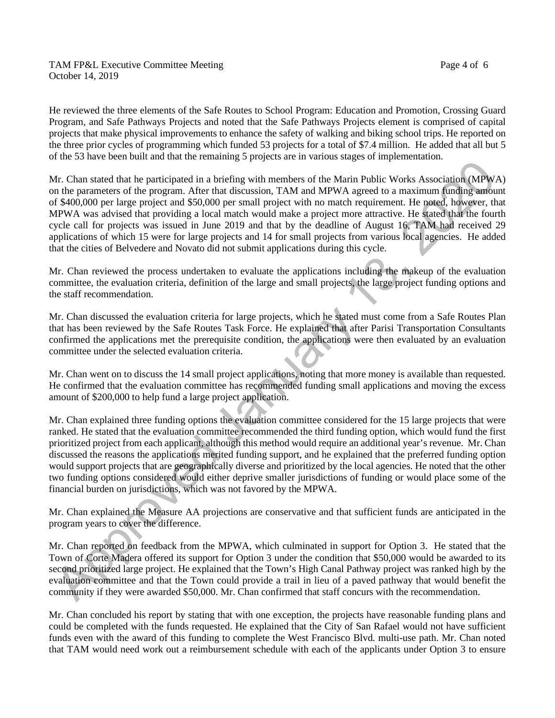### TAM FP&L Executive Committee Meeting Page 4 of 6 October 14, 2019

He reviewed the three elements of the Safe Routes to School Program: Education and Promotion, Crossing Guard Program, and Safe Pathways Projects and noted that the Safe Pathways Projects element is comprised of capital projects that make physical improvements to enhance the safety of walking and biking school trips. He reported on the three prior cycles of programming which funded 53 projects for a total of \$7.4 million. He added that all but 5 of the 53 have been built and that the remaining 5 projects are in various stages of implementation.

Mr. Chan stated that he participated in a briefing with members of the Marin Public Works Association (MPWA) on the parameters of the program. After that discussion, TAM and MPWA agreed to a maximum funding amount of \$400,000 per large project and \$50,000 per small project with no match requirement. He noted, however, that MPWA was advised that providing a local match would make a project more attractive. He stated that the fourth cycle call for projects was issued in June 2019 and that by the deadline of August 16, TAM had received 29 applications of which 15 were for large projects and 14 for small projects from various local agencies. He added that the cities of Belvedere and Novato did not submit applications during this cycle.

Mr. Chan reviewed the process undertaken to evaluate the applications including the makeup of the evaluation committee, the evaluation criteria, definition of the large and small projects, the large project funding options and the staff recommendation.

Mr. Chan discussed the evaluation criteria for large projects, which he stated must come from a Safe Routes Plan that has been reviewed by the Safe Routes Task Force. He explained that after Parisi Transportation Consultants confirmed the applications met the prerequisite condition, the applications were then evaluated by an evaluation committee under the selected evaluation criteria.

Mr. Chan went on to discuss the 14 small project applications, noting that more money is available than requested. He confirmed that the evaluation committee has recommended funding small applications and moving the excess amount of \$200,000 to help fund a large project application.

Mr. Chan explained three funding options the evaluation committee considered for the 15 large projects that were ranked. He stated that the evaluation committee recommended the third funding option, which would fund the first prioritized project from each applicant, although this method would require an additional year's revenue. Mr. Chan discussed the reasons the applications merited funding support, and he explained that the preferred funding option would support projects that are geographically diverse and prioritized by the local agencies. He noted that the other two funding options considered would either deprive smaller jurisdictions of funding or would place some of the financial burden on jurisdictions, which was not favored by the MPWA.

Mr. Chan explained the Measure AA projections are conservative and that sufficient funds are anticipated in the program years to cover the difference.

Mr. Chan reported on feedback from the MPWA, which culminated in support for Option 3. He stated that the Town of Corte Madera offered its support for Option 3 under the condition that \$50,000 would be awarded to its second prioritized large project. He explained that the Town's High Canal Pathway project was ranked high by the evaluation committee and that the Town could provide a trail in lieu of a paved pathway that would benefit the community if they were awarded \$50,000. Mr. Chan confirmed that staff concurs with the recommendation.

Mr. Chan concluded his report by stating that with one exception, the projects have reasonable funding plans and could be completed with the funds requested. He explained that the City of San Rafael would not have sufficient funds even with the award of this funding to complete the West Francisco Blvd. multi-use path. Mr. Chan noted that TAM would need work out a reimbursement schedule with each of the applicants under Option 3 to ensure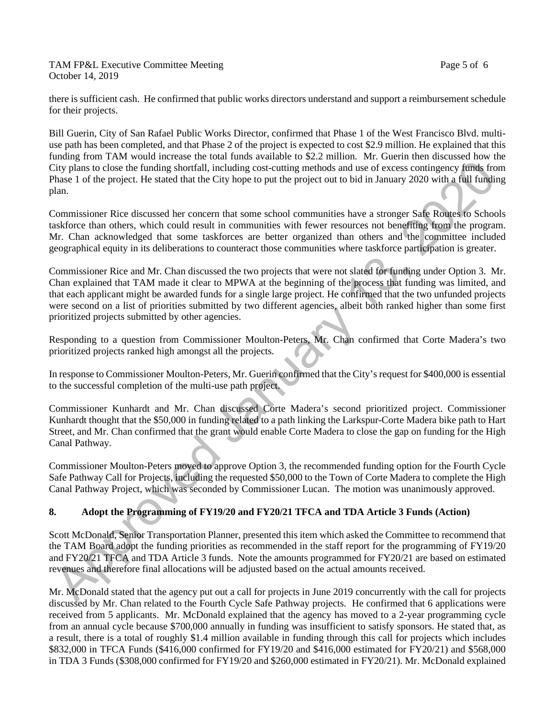TAM FP&L Executive Committee Meeting Page 5 of 6 October 14, 2019

there is sufficient cash. He confirmed that public works directors understand and support a reimbursement schedule for their projects.

Bill Guerin, City of San Rafael Public Works Director, confirmed that Phase 1 of the West Francisco Blvd. multiuse path has been completed, and that Phase 2 of the project is expected to cost \$2.9 million. He explained that this funding from TAM would increase the total funds available to \$2.2 million. Mr. Guerin then discussed how the City plans to close the funding shortfall, including cost-cutting methods and use of excess contingency funds from Phase 1 of the project. He stated that the City hope to put the project out to bid in January 2020 with a full funding plan.

Commissioner Rice discussed her concern that some school communities have a stronger Safe Routes to Schools taskforce than others, which could result in communities with fewer resources not benefiting from the program. Mr. Chan acknowledged that some taskforces are better organized than others and the committee included geographical equity in its deliberations to counteract those communities where taskforce participation is greater.

Commissioner Rice and Mr. Chan discussed the two projects that were not slated for funding under Option 3. Mr. Chan explained that TAM made it clear to MPWA at the beginning of the process that funding was limited, and that each applicant might be awarded funds for a single large project. He confirmed that the two unfunded projects were second on a list of priorities submitted by two different agencies, albeit both ranked higher than some first prioritized projects submitted by other agencies.

Responding to a question from Commissioner Moulton-Peters, Mr. Chan confirmed that Corte Madera's two prioritized projects ranked high amongst all the projects.

In response to Commissioner Moulton-Peters, Mr. Guerin confirmed that the City's request for \$400,000 is essential to the successful completion of the multi-use path project.

Commissioner Kunhardt and Mr. Chan discussed Corte Madera's second prioritized project. Commissioner Kunhardt thought that the \$50,000 in funding related to a path linking the Larkspur-Corte Madera bike path to Hart Street, and Mr. Chan confirmed that the grant would enable Corte Madera to close the gap on funding for the High Canal Pathway.

Commissioner Moulton-Peters moved to approve Option 3, the recommended funding option for the Fourth Cycle Safe Pathway Call for Projects, including the requested \$50,000 to the Town of Corte Madera to complete the High Canal Pathway Project, which was seconded by Commissioner Lucan. The motion was unanimously approved.

# **8. Adopt the Programming of FY19/20 and FY20/21 TFCA and TDA Article 3 Funds (Action)**

Scott McDonald, Senior Transportation Planner, presented this item which asked the Committee to recommend that the TAM Board adopt the funding priorities as recommended in the staff report for the programming of FY19/20 and FY20/21 TFCA and TDA Article 3 funds. Note the amounts programmed for FY20/21 are based on estimated revenues and therefore final allocations will be adjusted based on the actual amounts received.

Mr. McDonald stated that the agency put out a call for projects in June 2019 concurrently with the call for projects discussed by Mr. Chan related to the Fourth Cycle Safe Pathway projects. He confirmed that 6 applications were received from 5 applicants. Mr. McDonald explained that the agency has moved to a 2-year programming cycle from an annual cycle because \$700,000 annually in funding was insufficient to satisfy sponsors. He stated that, as a result, there is a total of roughly \$1.4 million available in funding through this call for projects which includes \$832,000 in TFCA Funds (\$416,000 confirmed for FY19/20 and \$416,000 estimated for FY20/21) and \$568,000 in TDA 3 Funds (\$308,000 confirmed for FY19/20 and \$260,000 estimated in FY20/21). Mr. McDonald explained